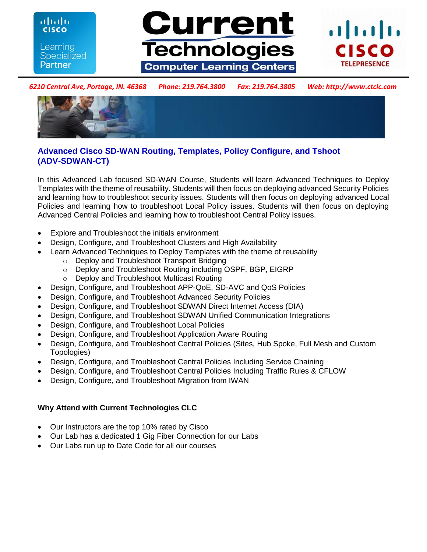ahaha **CISCO** Learning **Specialized Partner** 





*6210 Central Ave, Portage, IN. 46368 Phone: 219.764.3800 Fax: 219.764.3805 Web: http://www.ctclc.com*



# **Advanced Cisco SD-WAN Routing, Templates, Policy Configure, and Tshoot (ADV-SDWAN-CT)**

In this Advanced Lab focused SD-WAN Course, Students will learn Advanced Techniques to Deploy Templates with the theme of reusability. Students will then focus on deploying advanced Security Policies and learning how to troubleshoot security issues. Students will then focus on deploying advanced Local Policies and learning how to troubleshoot Local Policy issues. Students will then focus on deploying Advanced Central Policies and learning how to troubleshoot Central Policy issues.

- Explore and Troubleshoot the initials environment
- Design, Configure, and Troubleshoot Clusters and High Availability
	- Learn Advanced Techniques to Deploy Templates with the theme of reusability
		- o Deploy and Troubleshoot Transport Bridging
		- o Deploy and Troubleshoot Routing including OSPF, BGP, EIGRP
		- o Deploy and Troubleshoot Multicast Routing
- Design, Configure, and Troubleshoot APP-QoE, SD-AVC and QoS Policies
- Design, Configure, and Troubleshoot Advanced Security Policies
- Design, Configure, and Troubleshoot SDWAN Direct Internet Access (DIA)
- Design, Configure, and Troubleshoot SDWAN Unified Communication Integrations
- Design, Configure, and Troubleshoot Local Policies
- Design, Configure, and Troubleshoot Application Aware Routing
- Design, Configure, and Troubleshoot Central Policies (Sites, Hub Spoke, Full Mesh and Custom Topologies)
- Design, Configure, and Troubleshoot Central Policies Including Service Chaining
- Design, Configure, and Troubleshoot Central Policies Including Traffic Rules & CFLOW
- Design, Configure, and Troubleshoot Migration from IWAN

# **Why Attend with Current Technologies CLC**

- Our Instructors are the top 10% rated by Cisco
- Our Lab has a dedicated 1 Gig Fiber Connection for our Labs
- Our Labs run up to Date Code for all our courses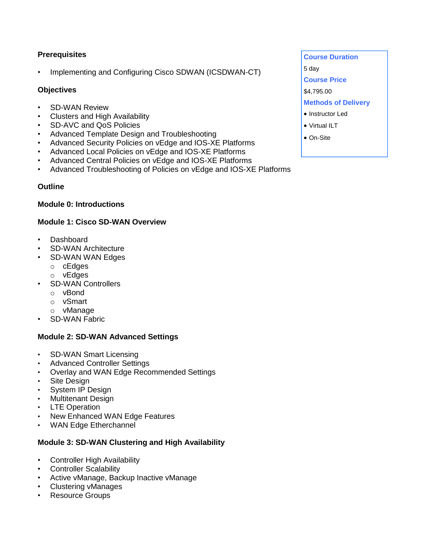# **Prerequisites**

• Implementing and Configuring Cisco SDWAN (ICSDWAN-CT)

### **Objectives**

- SD-WAN Review
- Clusters and High Availability
- SD-AVC and QoS Policies
- Advanced Template Design and Troubleshooting
- Advanced Security Policies on vEdge and IOS-XE Platforms
- Advanced Local Policies on vEdge and IOS-XE Platforms
- Advanced Central Policies on vEdge and IOS-XE Platforms
- Advanced Troubleshooting of Policies on vEdge and IOS-XE Platforms

#### **Outline**

#### **Module 0: Introductions**

#### **Module 1: Cisco SD-WAN Overview**

- Dashboard
- SD-WAN Architecture
- SD-WAN WAN Edges
	- o cEdges
	- o vEdges
- SD-WAN Controllers
	- o vBond
	- o vSmart
	- o vManage
- SD-WAN Fabric

### **Module 2: SD-WAN Advanced Settings**

- SD-WAN Smart Licensing
- Advanced Controller Settings
- Overlay and WAN Edge Recommended Settings
- Site Design
- System IP Design
- Multitenant Design
- **LTE Operation**
- New Enhanced WAN Edge Features
- WAN Edge Etherchannel

### **Module 3: SD-WAN Clustering and High Availability**

- Controller High Availability
- Controller Scalability
- Active vManage, Backup Inactive vManage
- Clustering vManages
- Resource Groups
- **Course Duration**  5 day **Course Price**  \$4,795.00 **Methods of Delivery**
- Instructor Led
- Virtual ILT
- On-Site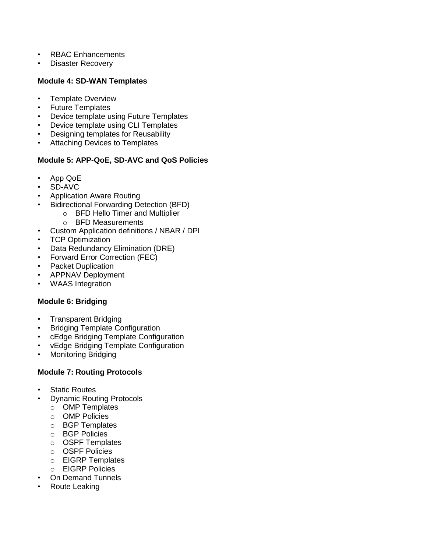- RBAC Enhancements
- Disaster Recovery

#### **Module 4: SD-WAN Templates**

- Template Overview
- Future Templates
- Device template using Future Templates
- Device template using CLI Templates
- Designing templates for Reusability
- Attaching Devices to Templates

### **Module 5: APP-QoE, SD-AVC and QoS Policies**

- App QoE
- SD-AVC
- Application Aware Routing
	- Bidirectional Forwarding Detection (BFD)
		- o BFD Hello Timer and Multiplier
		- o BFD Measurements
- Custom Application definitions / NBAR / DPI
- TCP Optimization
- Data Redundancy Elimination (DRE)
- Forward Error Correction (FEC)
- Packet Duplication
- APPNAV Deployment
- WAAS Integration

### **Module 6: Bridging**

- Transparent Bridging
- Bridging Template Configuration
- cEdge Bridging Template Configuration
- vEdge Bridging Template Configuration
- Monitoring Bridging

#### **Module 7: Routing Protocols**

- **Static Routes**
- Dynamic Routing Protocols
	- o OMP Templates
	- o OMP Policies
	- o BGP Templates
	- o BGP Policies
	- o OSPF Templates
	- o OSPF Policies
	- o EIGRP Templates
	- o EIGRP Policies
- On Demand Tunnels
- Route Leaking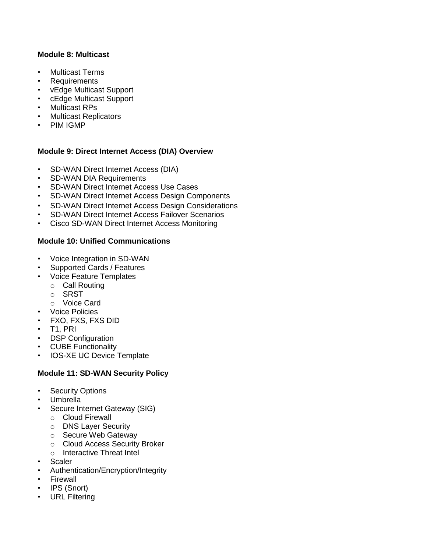### **Module 8: Multicast**

- Multicast Terms
- **Requirements**
- vEdge Multicast Support
- cEdge Multicast Support
- Multicast RPs
- Multicast Replicators
- PIM IGMP

### **Module 9: Direct Internet Access (DIA) Overview**

- SD-WAN Direct Internet Access (DIA)
- SD-WAN DIA Requirements
- SD-WAN Direct Internet Access Use Cases
- SD-WAN Direct Internet Access Design Components
- SD-WAN Direct Internet Access Design Considerations
- SD-WAN Direct Internet Access Failover Scenarios
- Cisco SD-WAN Direct Internet Access Monitoring

### **Module 10: Unified Communications**

- Voice Integration in SD-WAN
- Supported Cards / Features
- Voice Feature Templates
	- o Call Routing
	- o SRST
	- o Voice Card
- Voice Policies
- FXO, FXS, FXS DID
- T1, PRI
- DSP Configuration
- CUBE Functionality
- IOS-XE UC Device Template

# **Module 11: SD-WAN Security Policy**

- **Security Options**
- Umbrella
- Secure Internet Gateway (SIG)
	- o Cloud Firewall
	- o DNS Layer Security
	- o Secure Web Gateway
	- o Cloud Access Security Broker
	- o Interactive Threat Intel
- Scaler
- Authentication/Encryption/Integrity
- **Firewall**
- IPS (Snort)
- URL Filtering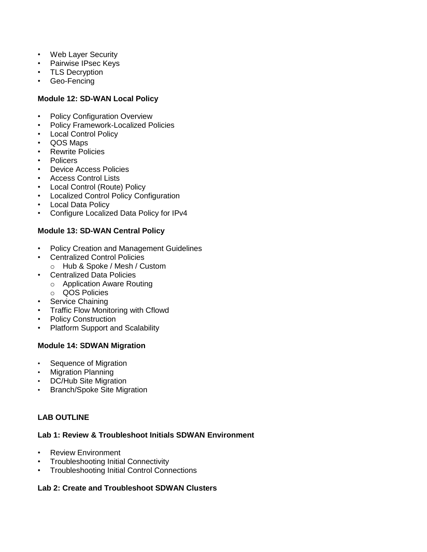- Web Layer Security
- Pairwise IPsec Keys
- TLS Decryption
- Geo-Fencing

### **Module 12: SD-WAN Local Policy**

- Policy Configuration Overview
- Policy Framework-Localized Policies
- Local Control Policy
- QOS Maps
- Rewrite Policies
- Policers
- Device Access Policies
- Access Control Lists
- Local Control (Route) Policy
- Localized Control Policy Configuration
- **Local Data Policy**
- Configure Localized Data Policy for IPv4

### **Module 13: SD-WAN Central Policy**

- Policy Creation and Management Guidelines
- Centralized Control Policies o Hub & Spoke / Mesh / Custom
- Centralized Data Policies
	- o Application Aware Routing
	- o QOS Policies
- Service Chaining
- **Traffic Flow Monitoring with Cflowd**
- Policy Construction
- Platform Support and Scalability

### **Module 14: SDWAN Migration**

- Sequence of Migration
- Migration Planning
- DC/Hub Site Migration
- Branch/Spoke Site Migration

# **LAB OUTLINE**

### **Lab 1: Review & Troubleshoot Initials SDWAN Environment**

- Review Environment
- Troubleshooting Initial Connectivity
- Troubleshooting Initial Control Connections

### **Lab 2: Create and Troubleshoot SDWAN Clusters**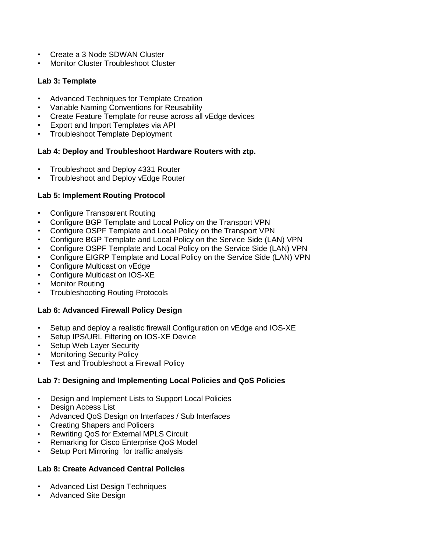- Create a 3 Node SDWAN Cluster
- Monitor Cluster Troubleshoot Cluster

### **Lab 3: Template**

- Advanced Techniques for Template Creation
- Variable Naming Conventions for Reusability
- Create Feature Template for reuse across all vEdge devices
- Export and Import Templates via API
- Troubleshoot Template Deployment

# **Lab 4: Deploy and Troubleshoot Hardware Routers with ztp.**

- Troubleshoot and Deploy 4331 Router
- Troubleshoot and Deploy vEdge Router

# **Lab 5: Implement Routing Protocol**

- Configure Transparent Routing
- Configure BGP Template and Local Policy on the Transport VPN
- Configure OSPF Template and Local Policy on the Transport VPN
- Configure BGP Template and Local Policy on the Service Side (LAN) VPN
- Configure OSPF Template and Local Policy on the Service Side (LAN) VPN
- Configure EIGRP Template and Local Policy on the Service Side (LAN) VPN
- Configure Multicast on vEdge
- Configure Multicast on IOS-XE
- **Monitor Routing**
- Troubleshooting Routing Protocols

# **Lab 6: Advanced Firewall Policy Design**

- Setup and deploy a realistic firewall Configuration on vEdge and IOS-XE
- Setup IPS/URL Filtering on IOS-XE Device
- Setup Web Layer Security
- Monitoring Security Policy
- Test and Troubleshoot a Firewall Policy

# **Lab 7: Designing and Implementing Local Policies and QoS Policies**

- Design and Implement Lists to Support Local Policies
- Design Access List
- Advanced QoS Design on Interfaces / Sub Interfaces
- Creating Shapers and Policers
- Rewriting QoS for External MPLS Circuit
- Remarking for Cisco Enterprise QoS Model
- Setup Port Mirroring for traffic analysis

### **Lab 8: Create Advanced Central Policies**

- Advanced List Design Techniques
- Advanced Site Design